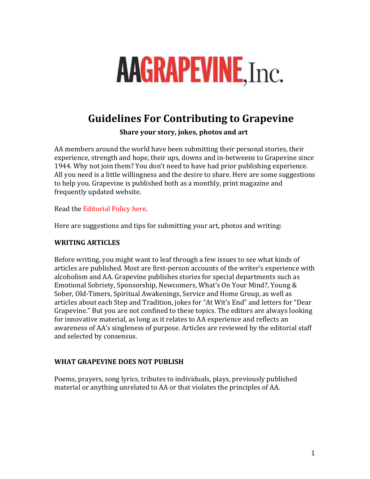# **AAGRAPEVINE, Inc.**

# **Guidelines For Contributing to Grapevine**

**Share your story, jokes, photos and art** 

AA members around the world have been submitting their personal stories, their experience, strength and hope, their ups, downs and in-betweens to Grapevine since 1944. Why not join them? You don't need to have had prior publishing experience. All you need is a little willingness and the desire to share. Here are some suggestions to help you. Grapevine is published both as a monthly, print magazine and frequently updated website.

Read the Editorial Policy here.

Here are suggestions and tips for submitting your art, photos and writing:

## **WRITING ARTICLES**

Before writing, you might want to leaf through a few issues to see what kinds of articles are published. Most are first-person accounts of the writer's experience with alcoholism and AA. Grapevine publishes stories for special departments such as Emotional Sobriety, Sponsorship, Newcomers, What's On Your Mind?, Young & Sober, Old-Timers, Spiritual Awakenings, Service and Home Group, as well as articles about each Step and Tradition, jokes for "At Wit's End" and letters for "Dear Grapevine." But you are not confined to these topics. The editors are always looking for innovative material, as long as it relates to AA experience and reflects an awareness of AA's singleness of purpose. Articles are reviewed by the editorial staff and selected by consensus.

#### WHAT GRAPEVINE DOES NOT PUBLISH

Poems, prayers, song lyrics, tributes to individuals, plays, previously published material or anything unrelated to AA or that violates the principles of AA.